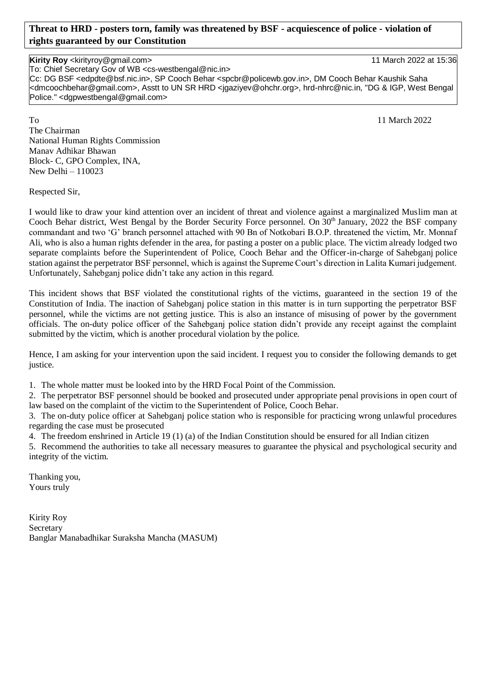# **Threat to HRD - posters torn, family was threatened by BSF - acquiescence of police - violation of rights guaranteed by our Constitution**

# **Kirity Roy** <kirityroy@gmail.com> 11 March 2022 at 15:36

To: Chief Secretary Gov of WB <cs-westbengal@nic.in>

Cc: DG BSF <edpdte@bsf.nic.in>, SP Cooch Behar <spcbr@policewb.gov.in>, DM Cooch Behar Kaushik Saha <dmcoochbehar@gmail.com>, Asstt to UN SR HRD <jgaziyev@ohchr.org>, hrd-nhrc@nic.in, "DG & IGP, West Bengal Police." <dgpwestbengal@gmail.com>

To 11 March 2022 The Chairman National Human Rights Commission Manav Adhikar Bhawan Block- C, GPO Complex, INA, New Delhi – 110023

Respected Sir,

I would like to draw your kind attention over an incident of threat and violence against a marginalized Muslim man at Cooch Behar district, West Bengal by the Border Security Force personnel. On 30<sup>th</sup> January, 2022 the BSF company commandant and two 'G' branch personnel attached with 90 Bn of Notkobari B.O.P. threatened the victim, Mr. Monnaf Ali, who is also a human rights defender in the area, for pasting a poster on a public place. The victim already lodged two separate complaints before the Superintendent of Police, Cooch Behar and the Officer-in-charge of Sahebganj police station against the perpetrator BSF personnel, which is against the Supreme Court's direction in Lalita Kumari judgement. Unfortunately, Sahebganj police didn't take any action in this regard.

This incident shows that BSF violated the constitutional rights of the victims, guaranteed in the section 19 of the Constitution of India. The inaction of Sahebganj police station in this matter is in turn supporting the perpetrator BSF personnel, while the victims are not getting justice. This is also an instance of misusing of power by the government officials. The on-duty police officer of the Sahebganj police station didn't provide any receipt against the complaint submitted by the victim, which is another procedural violation by the police.

Hence, I am asking for your intervention upon the said incident. I request you to consider the following demands to get justice.

1. The whole matter must be looked into by the HRD Focal Point of the Commission.

2. The perpetrator BSF personnel should be booked and prosecuted under appropriate penal provisions in open court of law based on the complaint of the victim to the Superintendent of Police, Cooch Behar.

3. The on-duty police officer at Sahebganj police station who is responsible for practicing wrong unlawful procedures regarding the case must be prosecuted

4. The freedom enshrined in Article 19 (1) (a) of the Indian Constitution should be ensured for all Indian citizen

5. Recommend the authorities to take all necessary measures to guarantee the physical and psychological security and integrity of the victim.

Thanking you, Yours truly

Kirity Roy Secretary Banglar Manabadhikar Suraksha Mancha (MASUM)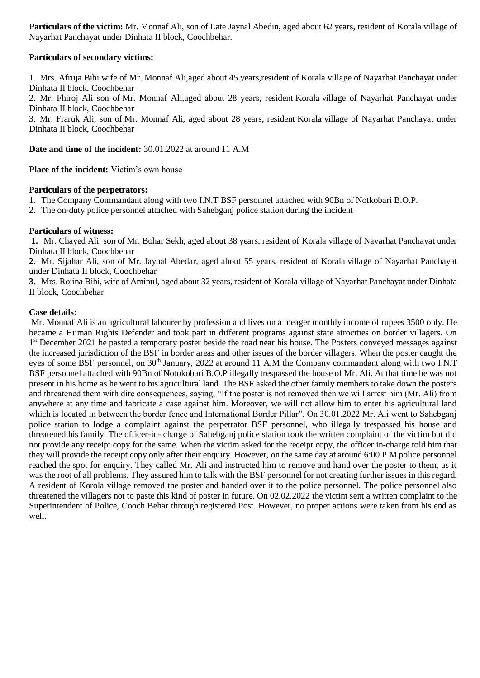**Particulars of the victim:** Mr. Monnaf Ali, son of Late Jaynal Abedin, aged about 62 years, resident of Korala village of Nayarhat Panchayat under Dinhata II block, Coochbehar.

# **Particulars of secondary victims:**

1. Mrs. Afruja Bibi wife of Mr. Monnaf Ali,aged about 45 years,resident of Korala village of Nayarhat Panchayat under Dinhata II block, Coochbehar

2. Mr. Fhiroj Ali son of Mr. Monnaf Ali,aged about 28 years, resident Korala village of Nayarhat Panchayat under Dinhata II block, Coochbehar

3. Mr. Fraruk Ali, son of Mr. Monnaf Ali, aged about 28 years, resident Korala village of Nayarhat Panchayat under Dinhata II block, Coochbehar

**Date and time of the incident:** 30.01.2022 at around 11 A.M

**Place of the incident:** Victim's own house

## **Particulars of the perpetrators:**

- 1. The Company Commandant along with two I.N.T BSF personnel attached with 90Bn of Notkobari B.O.P.
- 2. The on-duty police personnel attached with Sahebganj police station during the incident

### **Particulars of witness:**

**1.** Mr. Chayed Ali, son of Mr. Bohar Sekh, aged about 38 years, resident of Korala village of Nayarhat Panchayat under Dinhata II block, Coochbehar

**2.** Mr. Sijahar Ali, son of Mr. Jaynal Abedar, aged about 55 years, resident of Korala village of Nayarhat Panchayat under Dinhata II block, Coochbehar

**3.** Mrs. Rojina Bibi, wife of Aminul, aged about 32 years, resident of Korala village of Nayarhat Panchayat under Dinhata II block, Coochbehar

### **Case details:**

Mr. Monnaf Ali is an agricultural labourer by profession and lives on a meager monthly income of rupees 3500 only. He became a Human Rights Defender and took part in different programs against state atrocities on border villagers. On 1<sup>st</sup> December 2021 he pasted a temporary poster beside the road near his house. The Posters conveyed messages against the increased jurisdiction of the BSF in border areas and other issues of the border villagers. When the poster caught the eyes of some BSF personnel, on 30<sup>th</sup> January, 2022 at around 11 A.M the Company commandant along with two I.N.T BSF personnel attached with 90Bn of Notokobari B.O.P illegally trespassed the house of Mr. Ali. At that time he was not present in his home as he went to his agricultural land. The BSF asked the other family members to take down the posters and threatened them with dire consequences, saying, "If the poster is not removed then we will arrest him (Mr. Ali) from anywhere at any time and fabricate a case against him. Moreover, we will not allow him to enter his agricultural land which is located in between the border fence and International Border Pillar". On 30.01.2022 Mr. Ali went to Sahebganj police station to lodge a complaint against the perpetrator BSF personnel, who illegally trespassed his house and threatened his family. The officer-in- charge of Sahebganj police station took the written complaint of the victim but did not provide any receipt copy for the same. When the victim asked for the receipt copy, the officer in-charge told him that they will provide the receipt copy only after their enquiry. However, on the same day at around 6:00 P.M police personnel reached the spot for enquiry. They called Mr. Ali and instructed him to remove and hand over the poster to them, as it was the root of all problems. They assured him to talk with the BSF personnel for not creating further issues in this regard. A resident of Korola village removed the poster and handed over it to the police personnel. The police personnel also threatened the villagers not to paste this kind of poster in future. On 02.02.2022 the victim sent a written complaint to the Superintendent of Police, Cooch Behar through registered Post. However, no proper actions were taken from his end as well.